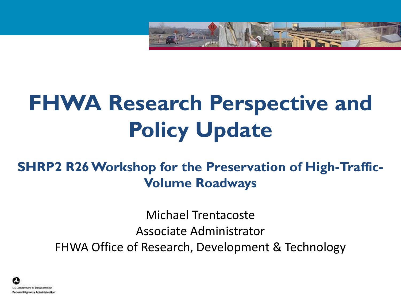

# **FHWA Research Perspective and Policy Update**

### **SHRP2 R26 Workshop for the Preservation of High-Traffic-Volume Roadways**

Michael Trentacoste Associate Administrator FHWA Office of Research, Development & Technology

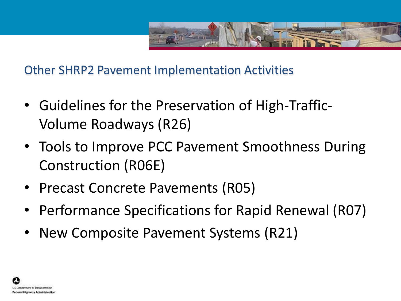

Other SHRP2 Pavement Implementation Activities

- Guidelines for the Preservation of High-Traffic-Volume Roadways (R26)
- Tools to Improve PCC Pavement Smoothness During Construction (R06E)
- Precast Concrete Pavements (R05)
- Performance Specifications for Rapid Renewal (R07)
- New Composite Pavement Systems (R21)

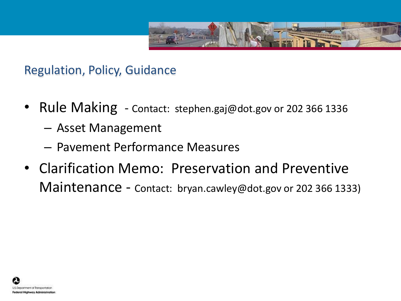

Regulation, Policy, Guidance

- Rule Making Contact: stephen.gaj@dot.gov or 202 366 1336
	- Asset Management
	- Pavement Performance Measures
- Clarification Memo: Preservation and Preventive Maintenance - Contact: bryan.cawley@dot.gov or 202 366 1333)

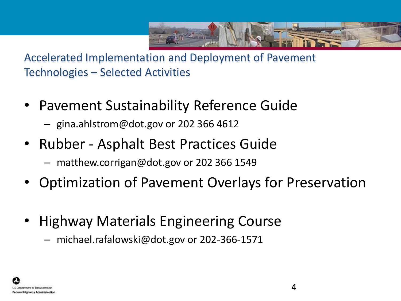

Accelerated Implementation and Deployment of Pavement Technologies – Selected Activities

- Pavement Sustainability Reference Guide
	- gina.ahlstrom@dot.gov or 202 366 4612
- Rubber Asphalt Best Practices Guide
	- matthew.corrigan@dot.gov or 202 366 1549
- Optimization of Pavement Overlays for Preservation
- Highway Materials Engineering Course
	- michael.rafalowski@dot.gov or 202-366-1571

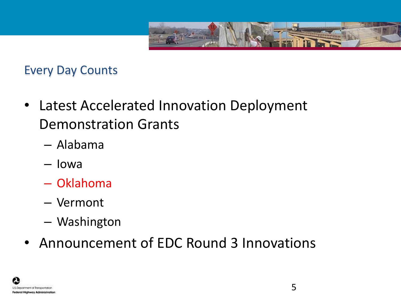

### Every Day Counts

- Latest Accelerated Innovation Deployment Demonstration Grants
	- Alabama
	- Iowa
	- Oklahoma
	- Vermont
	- Washington
- Announcement of EDC Round 3 Innovations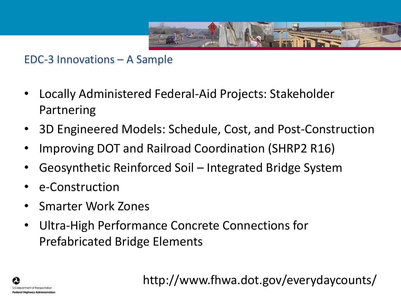

EDC-3 Innovations – A Sample

- Locally Administered Federal-Aid Projects: Stakeholder Partnering
- 3D Engineered Models: Schedule, Cost, and Post-Construction
- Improving DOT and Railroad Coordination (SHRP2 R16)
- Geosynthetic Reinforced Soil Integrated Bridge System
- e-Construction
- Smarter Work Zones
- Ultra-High Performance Concrete Connections for Prefabricated Bridge Elements



http://www.fhwa.dot.gov/everydaycounts/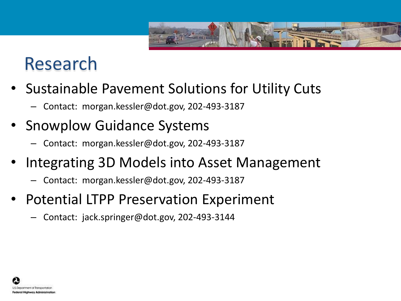

# Research

- Sustainable Pavement Solutions for Utility Cuts
	- Contact: morgan.kessler@dot.gov, 202-493-3187
- Snowplow Guidance Systems
	- Contact: morgan.kessler@dot.gov, 202-493-3187
- Integrating 3D Models into Asset Management
	- Contact: morgan.kessler@dot.gov, 202-493-3187
- Potential LTPP Preservation Experiment
	- Contact: jack.springer@dot.gov, 202-493-3144

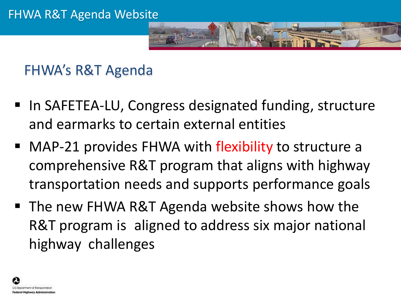

FHWA's R&T Agenda

- In SAFETEA-LU, Congress designated funding, structure and earmarks to certain external entities
- MAP-21 provides FHWA with flexibility to structure a comprehensive R&T program that aligns with highway transportation needs and supports performance goals
- The new FHWA R&T Agenda website shows how the R&T program is aligned to address six major national highway challenges

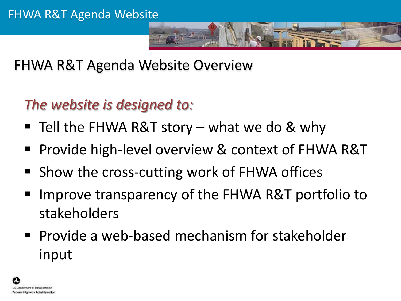

FHWA R&T Agenda Website Overview

# *The website is designed to:*

- Tell the FHWA R&T story what we do & why
- Provide high-level overview & context of FHWA R&T
- Show the cross-cutting work of FHWA offices
- Improve transparency of the FHWA R&T portfolio to stakeholders
- **Provide a web-based mechanism for stakeholder** input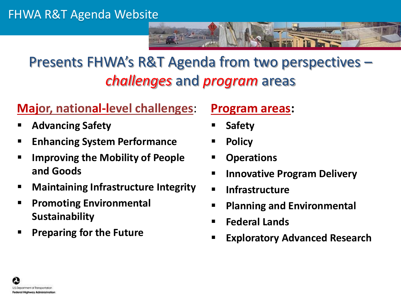

# Presents FHWA's R&T Agenda from two perspectives – *challenges* and *program* areas

### **Major, national-level challenges**:

- **Advancing Safety**
- **Enhancing System Performance**
- **Improving the Mobility of People and Goods**
- **Maintaining Infrastructure Integrity**
- **Promoting Environmental Sustainability**
- **Preparing for the Future**

#### **Program areas:**

- **Safety**
- **Policy**
- **Operations**
- **Innovative Program Delivery**
- **Infrastructure**
- **Planning and Environmental**
- **Federal Lands**
- **Exploratory Advanced Research**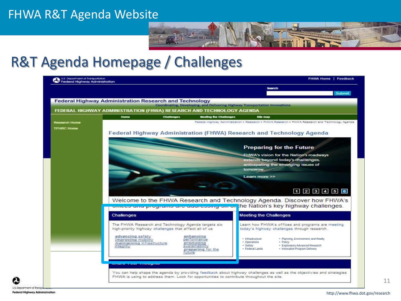#### FHWA R&T Agenda Website



### R&T Agenda Homepage / Challenges

|                   |                                                                      |                                                        |                                                                                                                                                           | <b>Search</b>                    |                                                                                                   | <b>Submit</b> |  |
|-------------------|----------------------------------------------------------------------|--------------------------------------------------------|-----------------------------------------------------------------------------------------------------------------------------------------------------------|----------------------------------|---------------------------------------------------------------------------------------------------|---------------|--|
|                   | <b>Federal Highway Administration Research and Technology</b>        |                                                        | Coordinating, Developing, and Delivering Highway Transportation Innovations                                                                               |                                  |                                                                                                   |               |  |
|                   | FEDERAL HIGHWAY ADMINISTRATION (FHWA) RESEARCH AND TECHNOLOGY AGENDA |                                                        |                                                                                                                                                           |                                  |                                                                                                   |               |  |
|                   | Home                                                                 | <b>Challenges</b>                                      | <b>Mooting the Challenges</b>                                                                                                                             | <b>Site map</b>                  |                                                                                                   |               |  |
| Rasearch Home     |                                                                      |                                                        |                                                                                                                                                           |                                  | Federal Highway Administration > Research > FHWA Research > FHWA Research and Technology Agenda   |               |  |
| <b>TFHRC Home</b> |                                                                      |                                                        | Federal Highway Administration (FHWA) Research and Technology Agenda                                                                                      |                                  |                                                                                                   |               |  |
|                   |                                                                      |                                                        |                                                                                                                                                           |                                  |                                                                                                   |               |  |
|                   |                                                                      | <b>Preparing for the Future</b>                        |                                                                                                                                                           |                                  |                                                                                                   |               |  |
|                   |                                                                      | <b>FHWA's vision for the Nation's roadways</b>         |                                                                                                                                                           |                                  |                                                                                                   |               |  |
|                   |                                                                      | extends beyond today's challenges,                     |                                                                                                                                                           |                                  |                                                                                                   |               |  |
|                   |                                                                      | anticipating the emerging issues of<br>tomorrow.       |                                                                                                                                                           |                                  |                                                                                                   |               |  |
|                   |                                                                      | Learn more >>                                          |                                                                                                                                                           |                                  |                                                                                                   |               |  |
|                   |                                                                      |                                                        |                                                                                                                                                           |                                  |                                                                                                   |               |  |
|                   |                                                                      |                                                        |                                                                                                                                                           |                                  | 123456                                                                                            |               |  |
|                   |                                                                      |                                                        |                                                                                                                                                           |                                  |                                                                                                   |               |  |
|                   |                                                                      |                                                        | Welcome to the FHWA Research and Technology Agenda. Discover how FHWA's<br>onices and programs are addressing six of the Nation's key highway challenges. |                                  |                                                                                                   |               |  |
|                   |                                                                      |                                                        |                                                                                                                                                           |                                  |                                                                                                   |               |  |
|                   | Challenges                                                           |                                                        |                                                                                                                                                           | <b>Meeting the Challenges</b>    |                                                                                                   |               |  |
|                   |                                                                      | high-priority highway challenges that affect all of us | The FHWA Research and Technology Agenda targets six                                                                                                       |                                  | Learn how FHWA's offices and programs are meeting<br>today's highway challenges through research. |               |  |
|                   | advancing safety                                                     |                                                        | enhancing                                                                                                                                                 |                                  |                                                                                                   |               |  |
|                   | improving mobility<br>maintaining infrastructure                     |                                                        | performance<br>promoting                                                                                                                                  | • Infrastructure<br>• Operations | • Planning, Environment, and Realty<br>• Policy                                                   |               |  |
|                   | integrity                                                            |                                                        | sustainability<br>preparing for the                                                                                                                       | • Safety<br>• Federal Lands      | • Exploratory Advanced Research<br>• Innovative Program Delivery                                  |               |  |
|                   |                                                                      |                                                        | future                                                                                                                                                    |                                  |                                                                                                   |               |  |
|                   | a basan sa mara sa san na basan a gu basa                            |                                                        |                                                                                                                                                           |                                  |                                                                                                   |               |  |
|                   |                                                                      |                                                        |                                                                                                                                                           |                                  |                                                                                                   |               |  |

U.S. Department of Transp Federal Highway Administration 11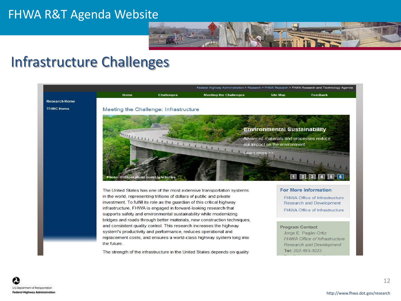#### FHWA R&T Agenda Website



### Infrastructure Challenges

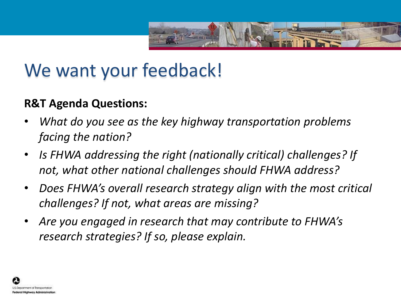

# We want your feedback!

#### **R&T Agenda Questions:**

- *What do you see as the key highway transportation problems facing the nation?*
- *Is FHWA addressing the right (nationally critical) challenges? If not, what other national challenges should FHWA address?*
- *Does FHWA's overall research strategy align with the most critical challenges? If not, what areas are missing?*
- *Are you engaged in research that may contribute to FHWA's research strategies? If so, please explain.*